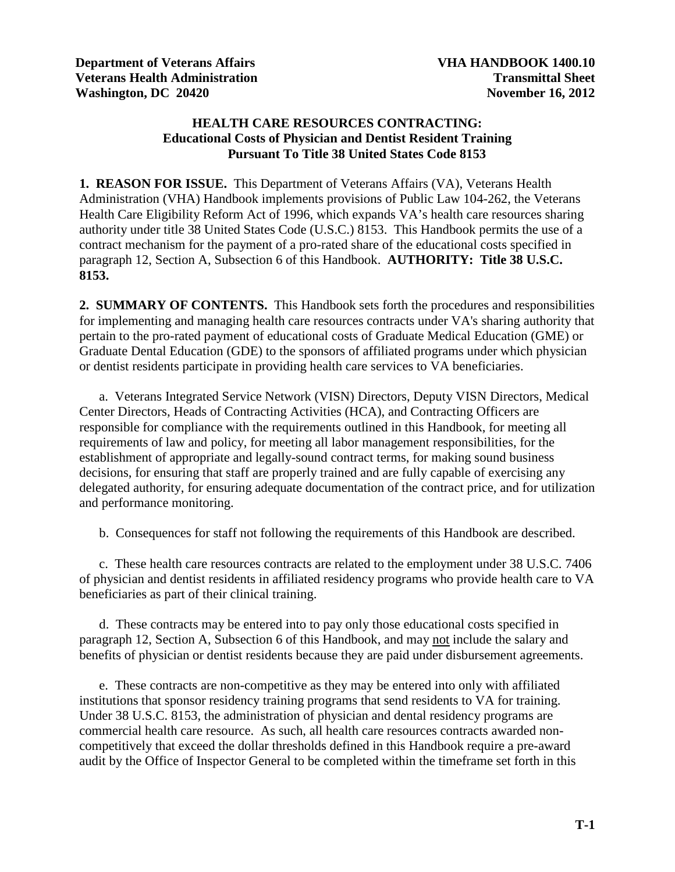## **HEALTH CARE RESOURCES CONTRACTING: Educational Costs of Physician and Dentist Resident Training Pursuant To Title 38 United States Code 8153**

**1. REASON FOR ISSUE.** This Department of Veterans Affairs (VA), Veterans Health Administration (VHA) Handbook implements provisions of Public Law 104-262, the Veterans Health Care Eligibility Reform Act of 1996, which expands VA's health care resources sharing authority under title 38 United States Code (U.S.C.) 8153. This Handbook permits the use of a contract mechanism for the payment of a pro-rated share of the educational costs specified in paragraph 12, Section A, Subsection 6 of this Handbook. **AUTHORITY: Title 38 U.S.C. 8153.**

**2. SUMMARY OF CONTENTS.** This Handbook sets forth the procedures and responsibilities for implementing and managing health care resources contracts under VA's sharing authority that pertain to the pro-rated payment of educational costs of Graduate Medical Education (GME) or Graduate Dental Education (GDE) to the sponsors of affiliated programs under which physician or dentist residents participate in providing health care services to VA beneficiaries.

a. Veterans Integrated Service Network (VISN) Directors, Deputy VISN Directors, Medical Center Directors, Heads of Contracting Activities (HCA), and Contracting Officers are responsible for compliance with the requirements outlined in this Handbook, for meeting all requirements of law and policy, for meeting all labor management responsibilities, for the establishment of appropriate and legally-sound contract terms, for making sound business decisions, for ensuring that staff are properly trained and are fully capable of exercising any delegated authority, for ensuring adequate documentation of the contract price, and for utilization and performance monitoring.

b. Consequences for staff not following the requirements of this Handbook are described.

c. These health care resources contracts are related to the employment under 38 U.S.C. 7406 of physician and dentist residents in affiliated residency programs who provide health care to VA beneficiaries as part of their clinical training.

 d. These contracts may be entered into to pay only those educational costs specified in paragraph 12, Section A, Subsection 6 of this Handbook, and may not include the salary and benefits of physician or dentist residents because they are paid under disbursement agreements.

 e. These contracts are non-competitive as they may be entered into only with affiliated institutions that sponsor residency training programs that send residents to VA for training. Under 38 U.S.C. 8153, the administration of physician and dental residency programs are commercial health care resource. As such, all health care resources contracts awarded noncompetitively that exceed the dollar thresholds defined in this Handbook require a pre-award audit by the Office of Inspector General to be completed within the timeframe set forth in this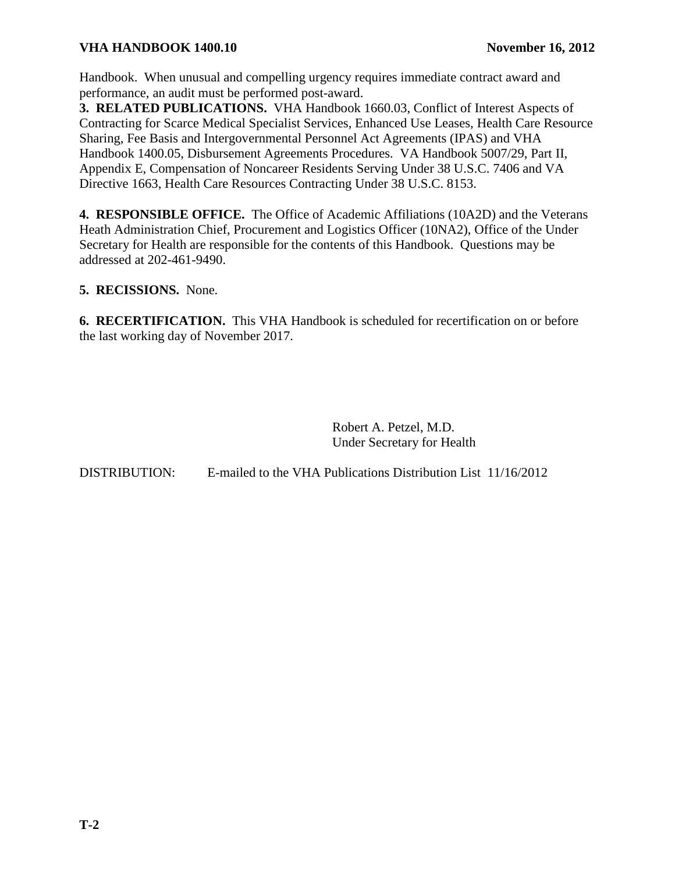Handbook. When unusual and compelling urgency requires immediate contract award and performance, an audit must be performed post-award.

**3. RELATED PUBLICATIONS.** VHA Handbook 1660.03, Conflict of Interest Aspects of Contracting for Scarce Medical Specialist Services, Enhanced Use Leases, Health Care Resource Sharing, Fee Basis and Intergovernmental Personnel Act Agreements (IPAS) and VHA Handbook 1400.05, Disbursement Agreements Procedures. VA Handbook 5007/29, Part II, Appendix E, Compensation of Noncareer Residents Serving Under 38 U.S.C. 7406 and VA Directive 1663, Health Care Resources Contracting Under 38 U.S.C. 8153.

**4. RESPONSIBLE OFFICE.** The Office of Academic Affiliations (10A2D) and the Veterans Heath Administration Chief, Procurement and Logistics Officer (10NA2), Office of the Under Secretary for Health are responsible for the contents of this Handbook. Questions may be addressed at 202-461-9490.

**5. RECISSIONS.** None.

**6. RECERTIFICATION.** This VHA Handbook is scheduled for recertification on or before the last working day of November 2017.

> Robert A. Petzel, M.D. Under Secretary for Health

DISTRIBUTION: E-mailed to the VHA Publications Distribution List 11/16/2012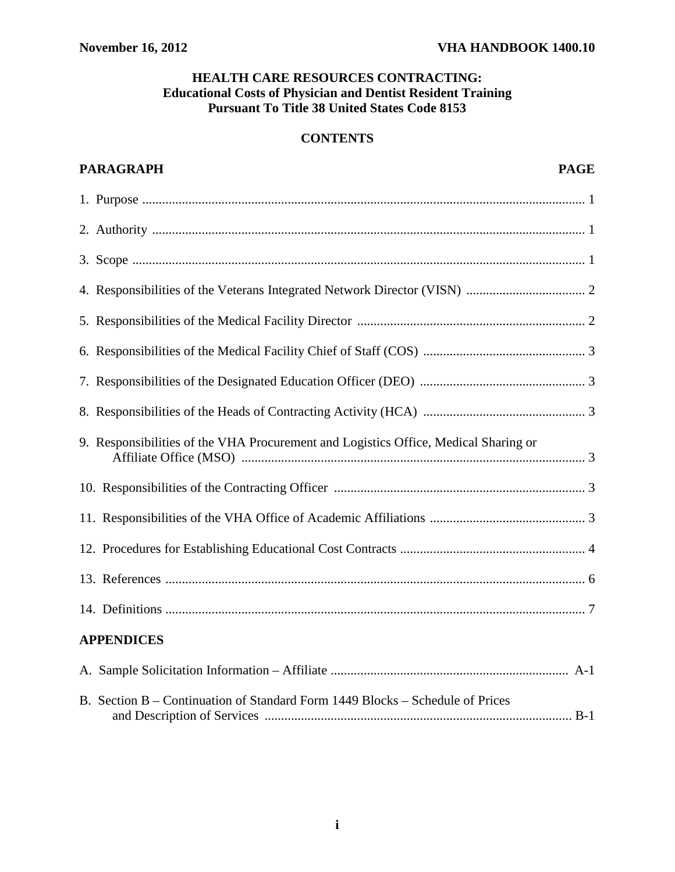## **HEALTH CARE RESOURCES CONTRACTING: Educational Costs of Physician and Dentist Resident Training Pursuant To Title 38 United States Code 8153**

## **CONTENTS**

| <b>PARAGRAPH</b><br><b>PAGE</b>                                                     |
|-------------------------------------------------------------------------------------|
|                                                                                     |
|                                                                                     |
|                                                                                     |
|                                                                                     |
|                                                                                     |
|                                                                                     |
|                                                                                     |
|                                                                                     |
| 9. Responsibilities of the VHA Procurement and Logistics Office, Medical Sharing or |
|                                                                                     |
|                                                                                     |
|                                                                                     |
|                                                                                     |
|                                                                                     |
| <b>APPENDICES</b>                                                                   |
|                                                                                     |
| B. Section B – Continuation of Standard Form 1449 Blocks – Schedule of Prices       |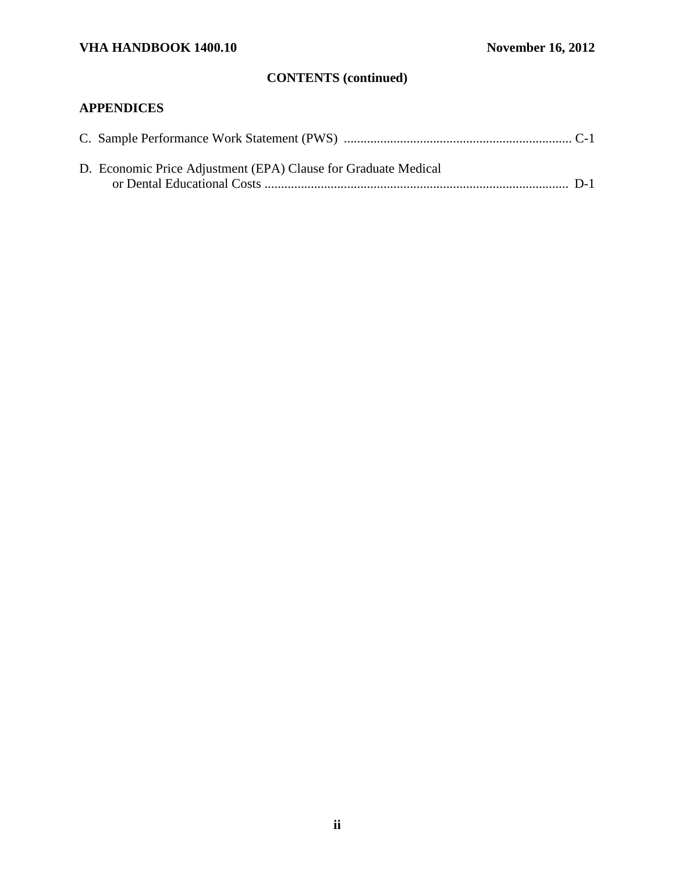# **CONTENTS (continued)**

# **APPENDICES**

| D. Economic Price Adjustment (EPA) Clause for Graduate Medical |  |
|----------------------------------------------------------------|--|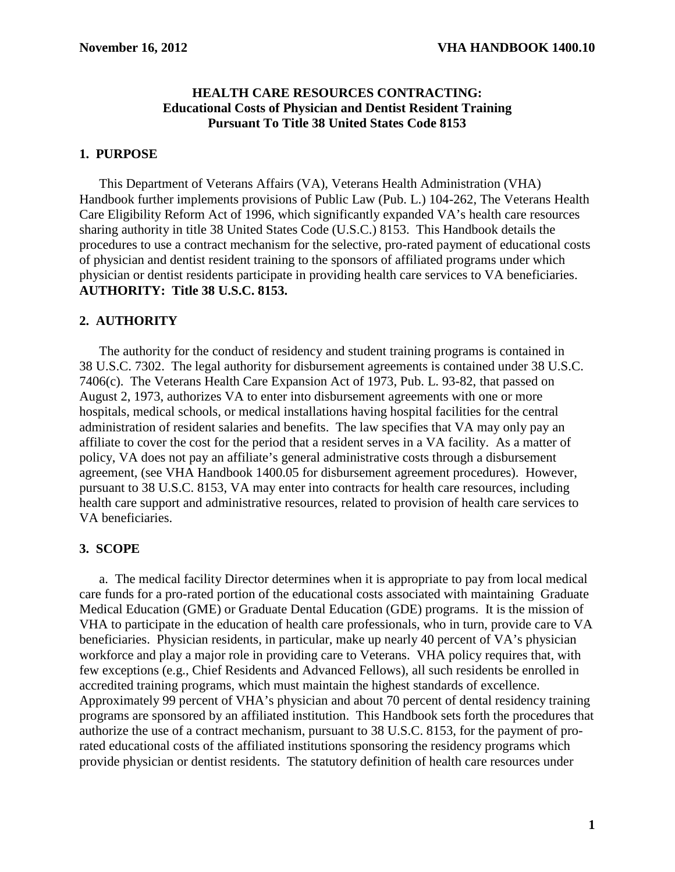## **HEALTH CARE RESOURCES CONTRACTING: Educational Costs of Physician and Dentist Resident Training Pursuant To Title 38 United States Code 8153**

### <span id="page-4-0"></span>**1. PURPOSE**

This Department of Veterans Affairs (VA), Veterans Health Administration (VHA) Handbook further implements provisions of Public Law (Pub. L.) 104-262, The Veterans Health Care Eligibility Reform Act of 1996, which significantly expanded VA's health care resources sharing authority in title 38 United States Code (U.S.C.) 8153. This Handbook details the procedures to use a contract mechanism for the selective, pro-rated payment of educational costs of physician and dentist resident training to the sponsors of affiliated programs under which physician or dentist residents participate in providing health care services to VA beneficiaries. **AUTHORITY: Title 38 U.S.C. 8153.**

### **2. AUTHORITY**

 The authority for the conduct of residency and student training programs is contained in 38 U.S.C. 7302. The legal authority for disbursement agreements is contained under 38 U.S.C. 7406(c). The Veterans Health Care Expansion Act of 1973, Pub. L. 93-82, that passed on August 2, 1973, authorizes VA to enter into disbursement agreements with one or more hospitals, medical schools, or medical installations having hospital facilities for the central administration of resident salaries and benefits. The law specifies that VA may only pay an affiliate to cover the cost for the period that a resident serves in a VA facility. As a matter of policy, VA does not pay an affiliate's general administrative costs through a disbursement agreement, (see VHA Handbook 1400.05 for disbursement agreement procedures). However, pursuant to 38 U.S.C. 8153, VA may enter into contracts for health care resources, including health care support and administrative resources, related to provision of health care services to VA beneficiaries.

#### **3. SCOPE**

a. The medical facility Director determines when it is appropriate to pay from local medical care funds for a pro-rated portion of the educational costs associated with maintaining Graduate Medical Education (GME) or Graduate Dental Education (GDE) programs. It is the mission of VHA to participate in the education of health care professionals, who in turn, provide care to VA beneficiaries. Physician residents, in particular, make up nearly 40 percent of VA's physician workforce and play a major role in providing care to Veterans. VHA policy requires that, with few exceptions (e.g., Chief Residents and Advanced Fellows), all such residents be enrolled in accredited training programs, which must maintain the highest standards of excellence. Approximately 99 percent of VHA's physician and about 70 percent of dental residency training programs are sponsored by an affiliated institution. This Handbook sets forth the procedures that authorize the use of a contract mechanism, pursuant to 38 U.S.C. 8153, for the payment of prorated educational costs of the affiliated institutions sponsoring the residency programs which provide physician or dentist residents. The statutory definition of health care resources under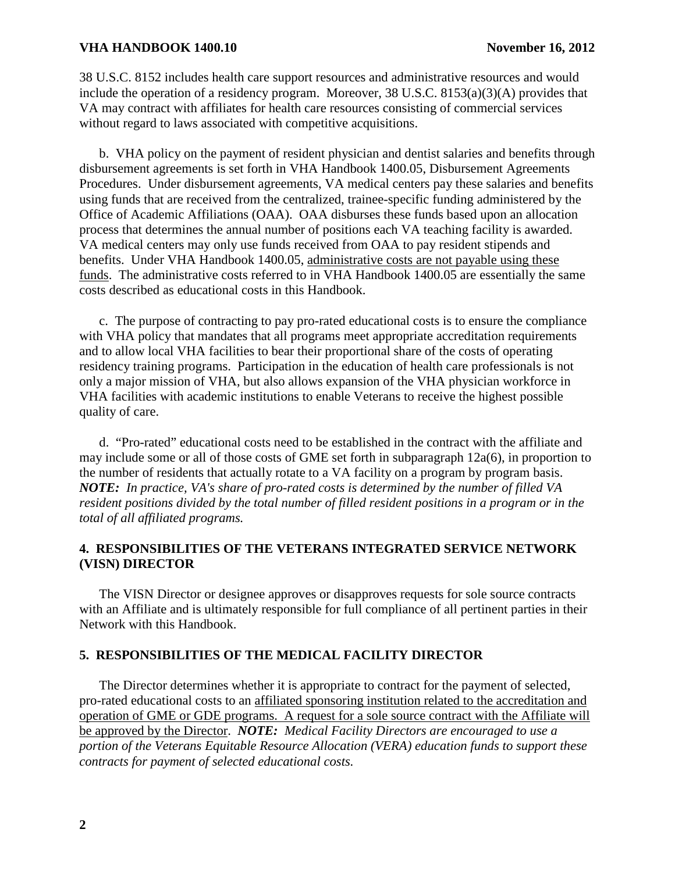<span id="page-5-0"></span>38 U.S.C. 8152 includes health care support resources and administrative resources and would include the operation of a residency program. Moreover, 38 U.S.C. 8153(a)(3)(A) provides that VA may contract with affiliates for health care resources consisting of commercial services without regard to laws associated with competitive acquisitions.

 b. VHA policy on the payment of resident physician and dentist salaries and benefits through disbursement agreements is set forth in VHA Handbook 1400.05, Disbursement Agreements Procedures. Under disbursement agreements, VA medical centers pay these salaries and benefits using funds that are received from the centralized, trainee-specific funding administered by the Office of Academic Affiliations (OAA). OAA disburses these funds based upon an allocation process that determines the annual number of positions each VA teaching facility is awarded. VA medical centers may only use funds received from OAA to pay resident stipends and benefits. Under VHA Handbook 1400.05, administrative costs are not payable using these funds. The administrative costs referred to in VHA Handbook 1400.05 are essentially the same costs described as educational costs in this Handbook.

 c. The purpose of contracting to pay pro-rated educational costs is to ensure the compliance with VHA policy that mandates that all programs meet appropriate accreditation requirements and to allow local VHA facilities to bear their proportional share of the costs of operating residency training programs. Participation in the education of health care professionals is not only a major mission of VHA, but also allows expansion of the VHA physician workforce in VHA facilities with academic institutions to enable Veterans to receive the highest possible quality of care.

 d. "Pro-rated" educational costs need to be established in the contract with the affiliate and may include some or all of those costs of GME set forth in subparagraph 12a(6), in proportion to the number of residents that actually rotate to a VA facility on a program by program basis. *NOTE: In practice, VA's share of pro-rated costs is determined by the number of filled VA resident positions divided by the total number of filled resident positions in a program or in the total of all affiliated programs.* 

## **4. RESPONSIBILITIES OF THE VETERANS INTEGRATED SERVICE NETWORK (VISN) DIRECTOR**

The VISN Director or designee approves or disapproves requests for sole source contracts with an Affiliate and is ultimately responsible for full compliance of all pertinent parties in their Network with this Handbook.

## **5. RESPONSIBILITIES OF THE MEDICAL FACILITY DIRECTOR**

The Director determines whether it is appropriate to contract for the payment of selected, pro-rated educational costs to an affiliated sponsoring institution related to the accreditation and operation of GME or GDE programs. A request for a sole source contract with the Affiliate will be approved by the Director. *NOTE: Medical Facility Directors are encouraged to use a portion of the Veterans Equitable Resource Allocation (VERA) education funds to support these contracts for payment of selected educational costs.*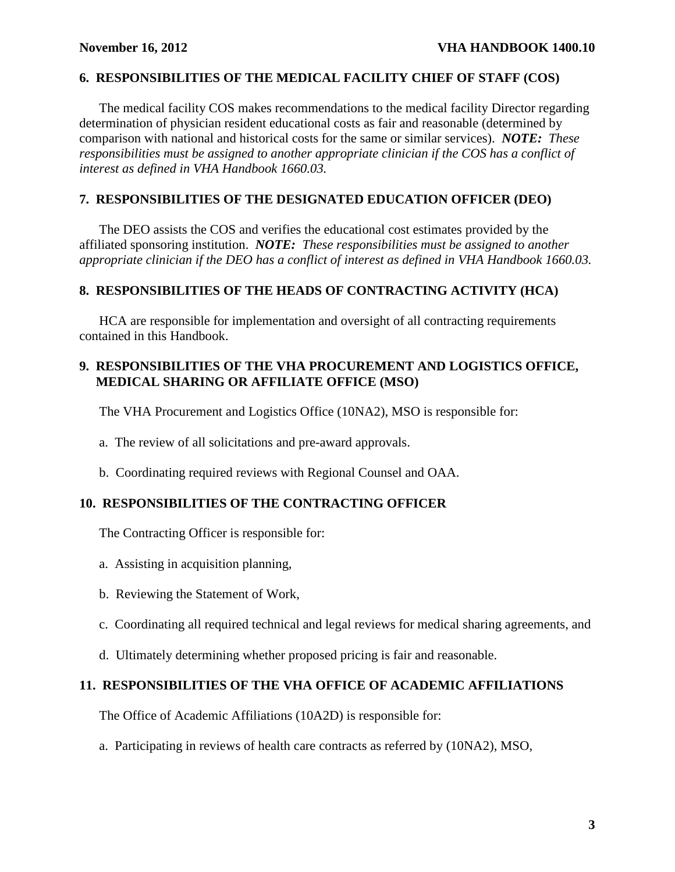## <span id="page-6-0"></span>**6. RESPONSIBILITIES OF THE MEDICAL FACILITY CHIEF OF STAFF (COS)**

The medical facility COS makes recommendations to the medical facility Director regarding determination of physician resident educational costs as fair and reasonable (determined by comparison with national and historical costs for the same or similar services). *NOTE: These responsibilities must be assigned to another appropriate clinician if the COS has a conflict of interest as defined in VHA Handbook 1660.03.* 

## **7. RESPONSIBILITIES OF THE DESIGNATED EDUCATION OFFICER (DEO)**

The DEO assists the COS and verifies the educational cost estimates provided by the affiliated sponsoring institution. *NOTE: These responsibilities must be assigned to another appropriate clinician if the DEO has a conflict of interest as defined in VHA Handbook 1660.03.* 

## **8. RESPONSIBILITIES OF THE HEADS OF CONTRACTING ACTIVITY (HCA)**

HCA are responsible for implementation and oversight of all contracting requirements contained in this Handbook.

## **9. RESPONSIBILITIES OF THE VHA PROCUREMENT AND LOGISTICS OFFICE, MEDICAL SHARING OR AFFILIATE OFFICE (MSO)**

The VHA Procurement and Logistics Office (10NA2), MSO is responsible for:

- a. The review of all solicitations and pre-award approvals.
- b. Coordinating required reviews with Regional Counsel and OAA.

## **10. RESPONSIBILITIES OF THE CONTRACTING OFFICER**

The Contracting Officer is responsible for:

- a. Assisting in acquisition planning,
- b. Reviewing the Statement of Work,
- c. Coordinating all required technical and legal reviews for medical sharing agreements, and
- d. Ultimately determining whether proposed pricing is fair and reasonable.

## **11. RESPONSIBILITIES OF THE VHA OFFICE OF ACADEMIC AFFILIATIONS**

The Office of Academic Affiliations (10A2D) is responsible for:

a. Participating in reviews of health care contracts as referred by (10NA2), MSO,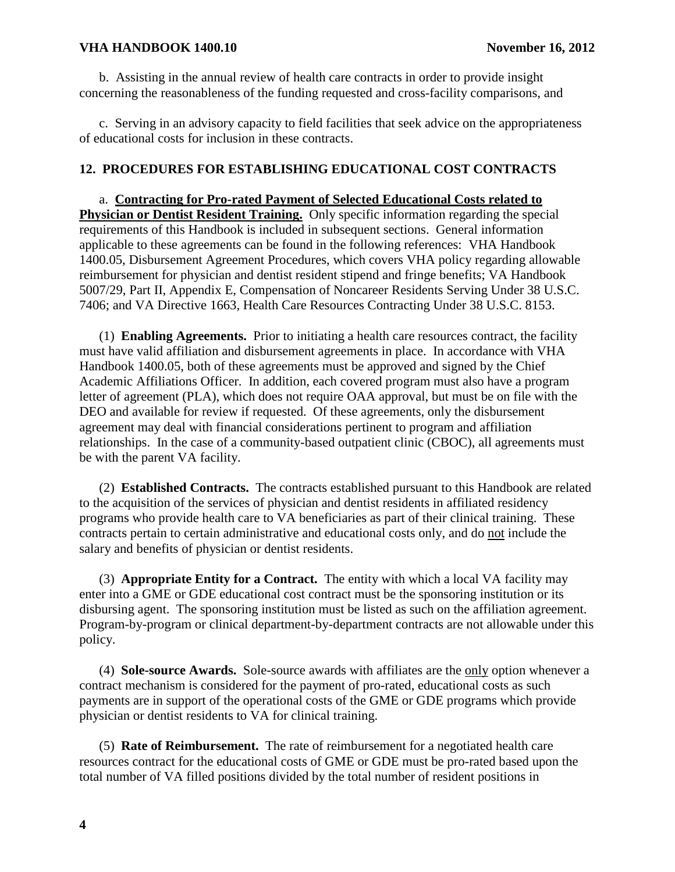<span id="page-7-0"></span>b. Assisting in the annual review of health care contracts in order to provide insight concerning the reasonableness of the funding requested and cross-facility comparisons, and

c. Serving in an advisory capacity to field facilities that seek advice on the appropriateness of educational costs for inclusion in these contracts.

## **12. PROCEDURES FOR ESTABLISHING EDUCATIONAL COST CONTRACTS**

a. **Contracting for Pro-rated Payment of Selected Educational Costs related to Physician or Dentist Resident Training.** Only specific information regarding the special requirements of this Handbook is included in subsequent sections. General information applicable to these agreements can be found in the following references: VHA Handbook 1400.05, Disbursement Agreement Procedures, which covers VHA policy regarding allowable reimbursement for physician and dentist resident stipend and fringe benefits; VA Handbook 5007/29, Part II, Appendix E, Compensation of Noncareer Residents Serving Under 38 U.S.C. 7406; and VA Directive 1663, Health Care Resources Contracting Under 38 U.S.C. 8153.

(1) **Enabling Agreements.** Prior to initiating a health care resources contract, the facility must have valid affiliation and disbursement agreements in place. In accordance with VHA Handbook 1400.05, both of these agreements must be approved and signed by the Chief Academic Affiliations Officer. In addition, each covered program must also have a program letter of agreement (PLA), which does not require OAA approval, but must be on file with the DEO and available for review if requested. Of these agreements, only the disbursement agreement may deal with financial considerations pertinent to program and affiliation relationships. In the case of a community-based outpatient clinic (CBOC), all agreements must be with the parent VA facility.

(2) **Established Contracts.** The contracts established pursuant to this Handbook are related to the acquisition of the services of physician and dentist residents in affiliated residency programs who provide health care to VA beneficiaries as part of their clinical training. These contracts pertain to certain administrative and educational costs only, and do not include the salary and benefits of physician or dentist residents.

(3) **Appropriate Entity for a Contract.** The entity with which a local VA facility may enter into a GME or GDE educational cost contract must be the sponsoring institution or its disbursing agent. The sponsoring institution must be listed as such on the affiliation agreement. Program-by-program or clinical department-by-department contracts are not allowable under this policy.

(4) **Sole-source Awards.** Sole-source awards with affiliates are the only option whenever a contract mechanism is considered for the payment of pro-rated, educational costs as such payments are in support of the operational costs of the GME or GDE programs which provide physician or dentist residents to VA for clinical training.

 (5) **Rate of Reimbursement.** The rate of reimbursement for a negotiated health care resources contract for the educational costs of GME or GDE must be pro-rated based upon the total number of VA filled positions divided by the total number of resident positions in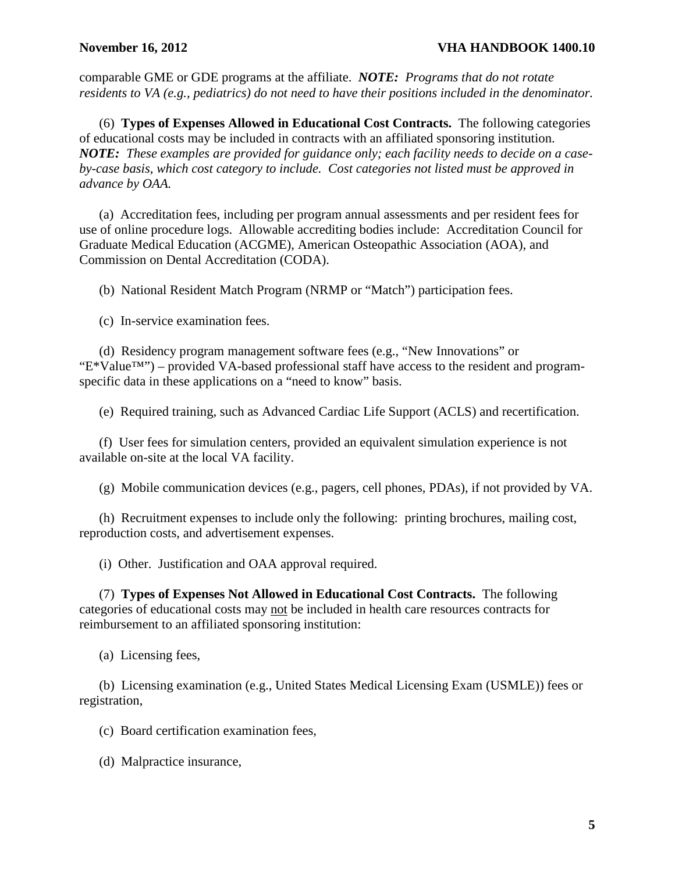comparable GME or GDE programs at the affiliate. *NOTE: Programs that do not rotate residents to VA (e.g., pediatrics) do not need to have their positions included in the denominator.* 

(6) **Types of Expenses Allowed in Educational Cost Contracts.** The following categories of educational costs may be included in contracts with an affiliated sponsoring institution. *NOTE: These examples are provided for guidance only; each facility needs to decide on a caseby-case basis, which cost category to include. Cost categories not listed must be approved in advance by OAA.*

(a) Accreditation fees, including per program annual assessments and per resident fees for use of online procedure logs. Allowable accrediting bodies include: Accreditation Council for Graduate Medical Education (ACGME), American Osteopathic Association (AOA), and Commission on Dental Accreditation (CODA).

(b) National Resident Match Program (NRMP or "Match") participation fees.

(c) In-service examination fees.

(d) Residency program management software fees (e.g., "New Innovations" or "E\*Value™") – provided VA-based professional staff have access to the resident and programspecific data in these applications on a "need to know" basis.

(e) Required training, such as Advanced Cardiac Life Support (ACLS) and recertification.

(f) User fees for simulation centers, provided an equivalent simulation experience is not available on-site at the local VA facility.

(g) Mobile communication devices (e.g., pagers, cell phones, PDAs), if not provided by VA.

 (h) Recruitment expenses to include only the following: printing brochures, mailing cost, reproduction costs, and advertisement expenses.

(i) Other. Justification and OAA approval required.

(7) **Types of Expenses Not Allowed in Educational Cost Contracts.** The following categories of educational costs may not be included in health care resources contracts for reimbursement to an affiliated sponsoring institution:

(a) Licensing fees,

(b) Licensing examination (e.g., United States Medical Licensing Exam (USMLE)) fees or registration,

(c) Board certification examination fees,

(d) Malpractice insurance,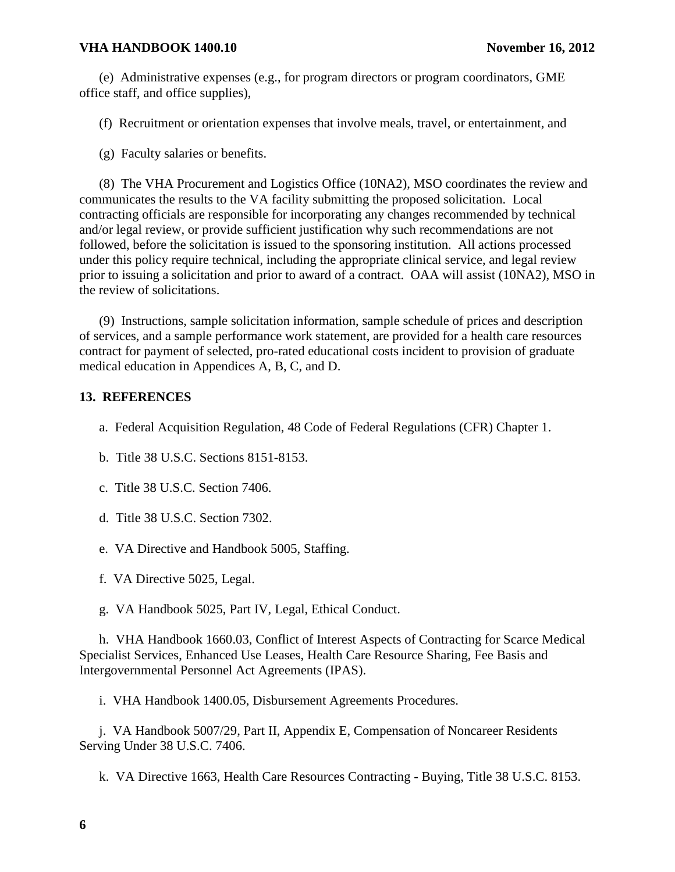<span id="page-9-0"></span>(e) Administrative expenses (e.g., for program directors or program coordinators, GME office staff, and office supplies),

(f) Recruitment or orientation expenses that involve meals, travel, or entertainment, and

(g) Faculty salaries or benefits.

 (8) The VHA Procurement and Logistics Office (10NA2), MSO coordinates the review and communicates the results to the VA facility submitting the proposed solicitation. Local contracting officials are responsible for incorporating any changes recommended by technical and/or legal review, or provide sufficient justification why such recommendations are not followed, before the solicitation is issued to the sponsoring institution. All actions processed under this policy require technical, including the appropriate clinical service, and legal review prior to issuing a solicitation and prior to award of a contract. OAA will assist (10NA2), MSO in the review of solicitations.

 (9) Instructions, sample solicitation information, sample schedule of prices and description of services, and a sample performance work statement, are provided for a health care resources contract for payment of selected, pro-rated educational costs incident to provision of graduate medical education in Appendices A, B, C, and D.

## **13. REFERENCES**

- a. Federal Acquisition Regulation, 48 Code of Federal Regulations (CFR) Chapter 1.
- b. Title 38 U.S.C. Sections 8151-8153.
- c. Title 38 U.S.C. Section 7406.
- d. Title 38 U.S.C. Section 7302.
- e. VA Directive and Handbook 5005, Staffing.
- f. VA Directive 5025, Legal.
- g. VA Handbook 5025, Part IV, Legal, Ethical Conduct.

h. VHA Handbook 1660.03, Conflict of Interest Aspects of Contracting for Scarce Medical Specialist Services, Enhanced Use Leases, Health Care Resource Sharing, Fee Basis and Intergovernmental Personnel Act Agreements (IPAS).

i. VHA Handbook 1400.05, Disbursement Agreements Procedures.

 j. VA Handbook 5007/29, Part II, Appendix E, Compensation of Noncareer Residents Serving Under 38 U.S.C. 7406.

k. VA Directive 1663, Health Care Resources Contracting - Buying, Title 38 U.S.C. 8153.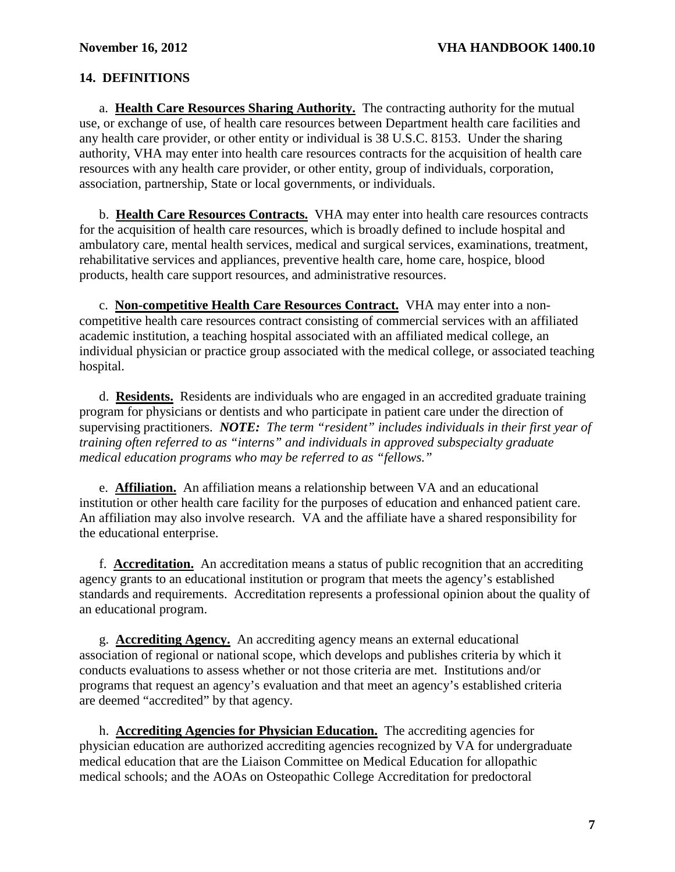## <span id="page-10-0"></span>**14. DEFINITIONS**

a. **Health Care Resources Sharing Authority.** The contracting authority for the mutual use, or exchange of use, of health care resources between Department health care facilities and any health care provider, or other entity or individual is 38 U.S.C. 8153. Under the sharing authority, VHA may enter into health care resources contracts for the acquisition of health care resources with any health care provider, or other entity, group of individuals, corporation, association, partnership, State or local governments, or individuals.

 b. **Health Care Resources Contracts.** VHA may enter into health care resources contracts for the acquisition of health care resources, which is broadly defined to include hospital and ambulatory care, mental health services, medical and surgical services, examinations, treatment, rehabilitative services and appliances, preventive health care, home care, hospice, blood products, health care support resources, and administrative resources.

c. **Non-competitive Health Care Resources Contract.** VHA may enter into a noncompetitive health care resources contract consisting of commercial services with an affiliated academic institution, a teaching hospital associated with an affiliated medical college, an individual physician or practice group associated with the medical college, or associated teaching hospital.

 d. **Residents.** Residents are individuals who are engaged in an accredited graduate training program for physicians or dentists and who participate in patient care under the direction of supervising practitioners. *NOTE: The term "resident" includes individuals in their first year of training often referred to as "interns" and individuals in approved subspecialty graduate medical education programs who may be referred to as "fellows."*

e. **Affiliation.** An affiliation means a relationship between VA and an educational institution or other health care facility for the purposes of education and enhanced patient care. An affiliation may also involve research. VA and the affiliate have a shared responsibility for the educational enterprise.

f. **Accreditation.** An accreditation means a status of public recognition that an accrediting agency grants to an educational institution or program that meets the agency's established standards and requirements. Accreditation represents a professional opinion about the quality of an educational program.

g. **Accrediting Agency.** An accrediting agency means an external educational association of regional or national scope, which develops and publishes criteria by which it conducts evaluations to assess whether or not those criteria are met. Institutions and/or programs that request an agency's evaluation and that meet an agency's established criteria are deemed "accredited" by that agency.

 h. **Accrediting Agencies for Physician Education.** The accrediting agencies for physician education are authorized accrediting agencies recognized by VA for undergraduate medical education that are the Liaison Committee on Medical Education for allopathic medical schools; and the AOAs on Osteopathic College Accreditation for predoctoral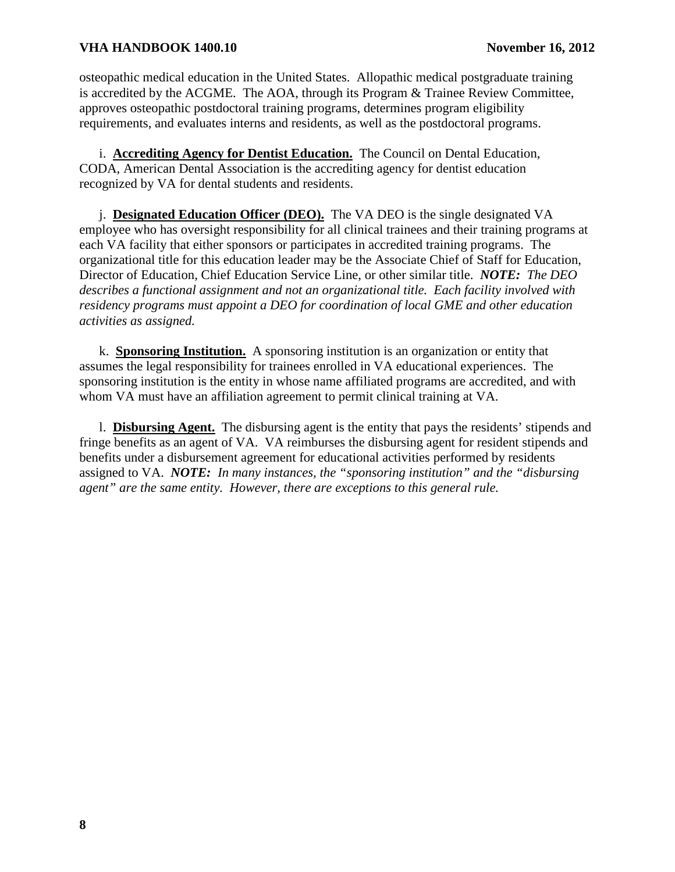<span id="page-11-0"></span>osteopathic medical education in the United States. Allopathic medical postgraduate training is accredited by the ACGME. The AOA, through its Program & Trainee Review Committee, approves osteopathic postdoctoral training programs, determines program eligibility requirements, and evaluates interns and residents, as well as the postdoctoral programs.

 i. **Accrediting Agency for Dentist Education.** The Council on Dental Education, CODA, American Dental Association is the accrediting agency for dentist education recognized by VA for dental students and residents.

j. **Designated Education Officer (DEO).** The VA DEO is the single designated VA employee who has oversight responsibility for all clinical trainees and their training programs at each VA facility that either sponsors or participates in accredited training programs. The organizational title for this education leader may be the Associate Chief of Staff for Education, Director of Education, Chief Education Service Line, or other similar title. *NOTE: The DEO describes a functional assignment and not an organizational title. Each facility involved with residency programs must appoint a DEO for coordination of local GME and other education activities as assigned.*

 k. **Sponsoring Institution.** A sponsoring institution is an organization or entity that assumes the legal responsibility for trainees enrolled in VA educational experiences. The sponsoring institution is the entity in whose name affiliated programs are accredited, and with whom VA must have an affiliation agreement to permit clinical training at VA.

l. **Disbursing Agent.** The disbursing agent is the entity that pays the residents' stipends and fringe benefits as an agent of VA. VA reimburses the disbursing agent for resident stipends and benefits under a disbursement agreement for educational activities performed by residents assigned to VA. *NOTE: In many instances, the "sponsoring institution" and the "disbursing agent" are the same entity. However, there are exceptions to this general rule.*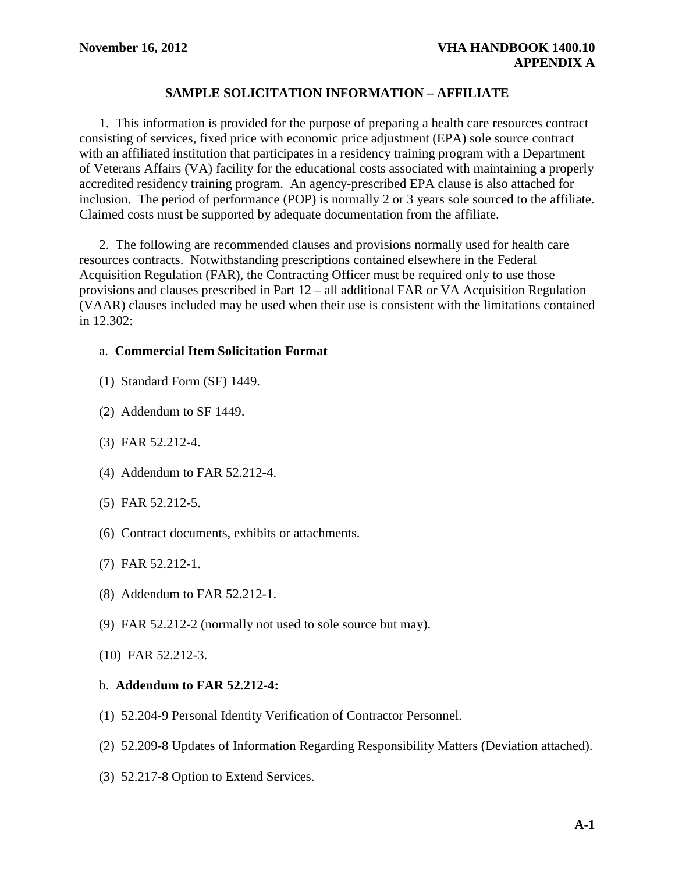## **SAMPLE SOLICITATION INFORMATION – AFFILIATE**

<span id="page-12-0"></span>1. This information is provided for the purpose of preparing a health care resources contract consisting of services, fixed price with economic price adjustment (EPA) sole source contract with an affiliated institution that participates in a residency training program with a Department of Veterans Affairs (VA) facility for the educational costs associated with maintaining a properly accredited residency training program. An agency-prescribed EPA clause is also attached for inclusion. The period of performance (POP) is normally 2 or 3 years sole sourced to the affiliate. Claimed costs must be supported by adequate documentation from the affiliate.

 2. The following are recommended clauses and provisions normally used for health care resources contracts. Notwithstanding prescriptions contained elsewhere in the Federal Acquisition Regulation (FAR), the Contracting Officer must be required only to use those provisions and clauses prescribed in Part 12 – all additional FAR or VA Acquisition Regulation (VAAR) clauses included may be used when their use is consistent with the limitations contained in 12.302:

## a. **Commercial Item Solicitation Format**

- (1) Standard Form (SF) 1449.
- (2) Addendum to SF 1449.
- (3) FAR 52.212-4.
- (4) Addendum to FAR 52.212-4.
- (5) FAR 52.212-5.
- (6) Contract documents, exhibits or attachments.
- (7) FAR 52.212-1.
- (8) Addendum to FAR 52.212-1.
- (9) FAR 52.212-2 (normally not used to sole source but may).
- (10) FAR 52.212-3.

## b. **Addendum to FAR 52.212-4:**

- (1) 52.204-9 Personal Identity Verification of Contractor Personnel.
- (2) 52.209-8 Updates of Information Regarding Responsibility Matters (Deviation attached).
- (3) 52.217-8 Option to Extend Services.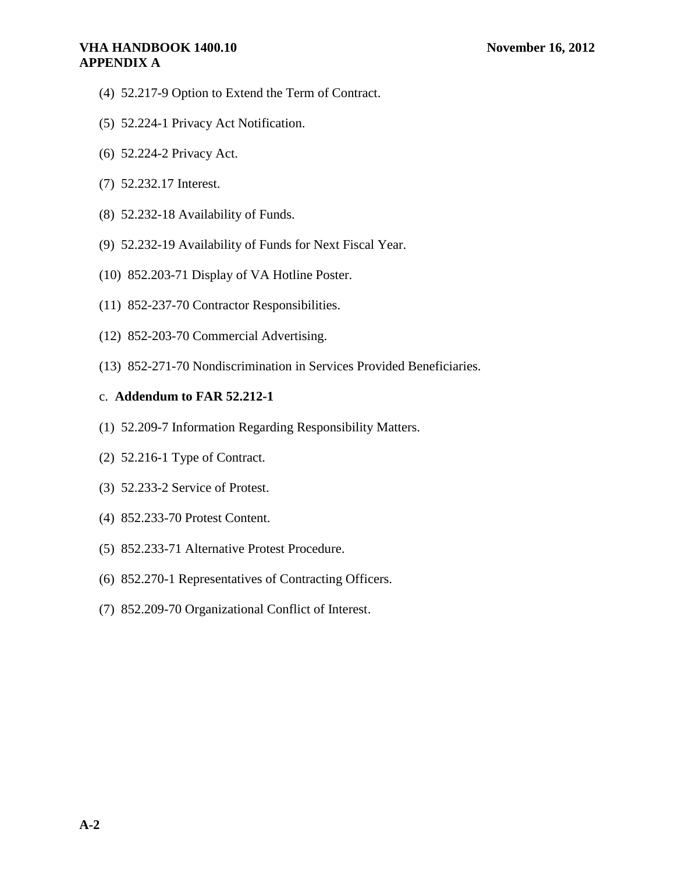## **VHA HANDBOOK 1400.10 November 16, 2012 APPENDIX A**

- (4) 52.217-9 Option to Extend the Term of Contract.
- (5) 52.224-1 Privacy Act Notification.
- (6) 52.224-2 Privacy Act.
- (7) 52.232.17 Interest.
- (8) 52.232-18 Availability of Funds.
- (9) 52.232-19 Availability of Funds for Next Fiscal Year.
- (10) 852.203-71 Display of VA Hotline Poster.
- (11) 852-237-70 Contractor Responsibilities.
- (12) 852-203-70 Commercial Advertising.
- (13) 852-271-70 Nondiscrimination in Services Provided Beneficiaries.

## c. **Addendum to FAR 52.212-1**

- (1) 52.209-7 Information Regarding Responsibility Matters.
- (2) 52.216-1 Type of Contract.
- (3) 52.233-2 Service of Protest.
- (4) 852.233-70 Protest Content.
- (5) 852.233-71 Alternative Protest Procedure.
- (6) 852.270-1 Representatives of Contracting Officers.
- (7) 852.209-70 Organizational Conflict of Interest.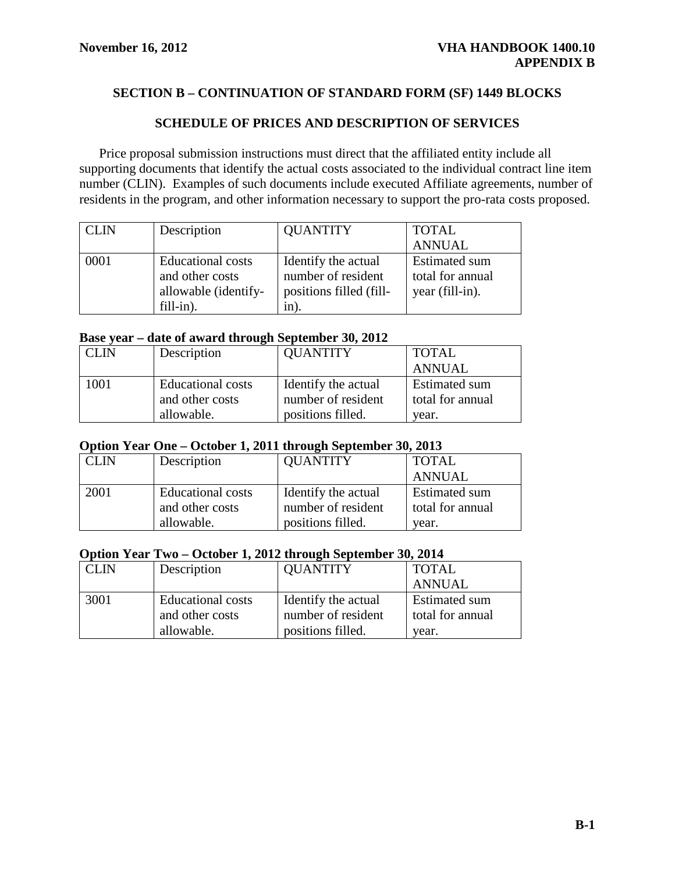# <span id="page-14-0"></span>**SECTION B – CONTINUATION OF STANDARD FORM (SF) 1449 BLOCKS**

## **SCHEDULE OF PRICES AND DESCRIPTION OF SERVICES**

Price proposal submission instructions must direct that the affiliated entity include all supporting documents that identify the actual costs associated to the individual contract line item number (CLIN). Examples of such documents include executed Affiliate agreements, number of residents in the program, and other information necessary to support the pro-rata costs proposed.

| <b>CLIN</b> | Description                                                                      | <b>QUANTITY</b>                                                              | <b>TOTAL</b>                                                |
|-------------|----------------------------------------------------------------------------------|------------------------------------------------------------------------------|-------------------------------------------------------------|
|             |                                                                                  |                                                                              | <b>ANNUAL</b>                                               |
| 0001        | <b>Educational</b> costs<br>and other costs<br>allowable (identify-<br>fill-in). | Identify the actual<br>number of resident<br>positions filled (fill-<br>1n). | <b>Estimated sum</b><br>total for annual<br>year (fill-in). |

#### **Base year – date of award through September 30, 2012**

| CLIN | Description       | <b>QUANTITY</b>     | <b>TOTAL</b>         |
|------|-------------------|---------------------|----------------------|
|      |                   |                     | <b>ANNUAL</b>        |
| 1001 | Educational costs | Identify the actual | <b>Estimated sum</b> |
|      | and other costs   | number of resident  | total for annual     |
|      | allowable.        | positions filled.   | vear.                |

#### **Option Year One – October 1, 2011 through September 30, 2013**

| CLIN | Description       | <b>QUANTITY</b>     | <b>TOTAL</b>         |  |
|------|-------------------|---------------------|----------------------|--|
|      |                   |                     | <b>ANNUAL</b>        |  |
| 2001 | Educational costs | Identify the actual | <b>Estimated sum</b> |  |
|      | and other costs   | number of resident  | total for annual     |  |
|      | allowable.        | positions filled.   | vear.                |  |

#### **Option Year Two – October 1, 2012 through September 30, 2014**

| <b>CLIN</b> | Description       | <b>QUANTITY</b>     | <b>TOTAL</b>         |
|-------------|-------------------|---------------------|----------------------|
|             |                   |                     | <b>ANNUAL</b>        |
| 3001        | Educational costs | Identify the actual | <b>Estimated sum</b> |
|             | and other costs   | number of resident  | total for annual     |
|             | allowable.        | positions filled.   | vear.                |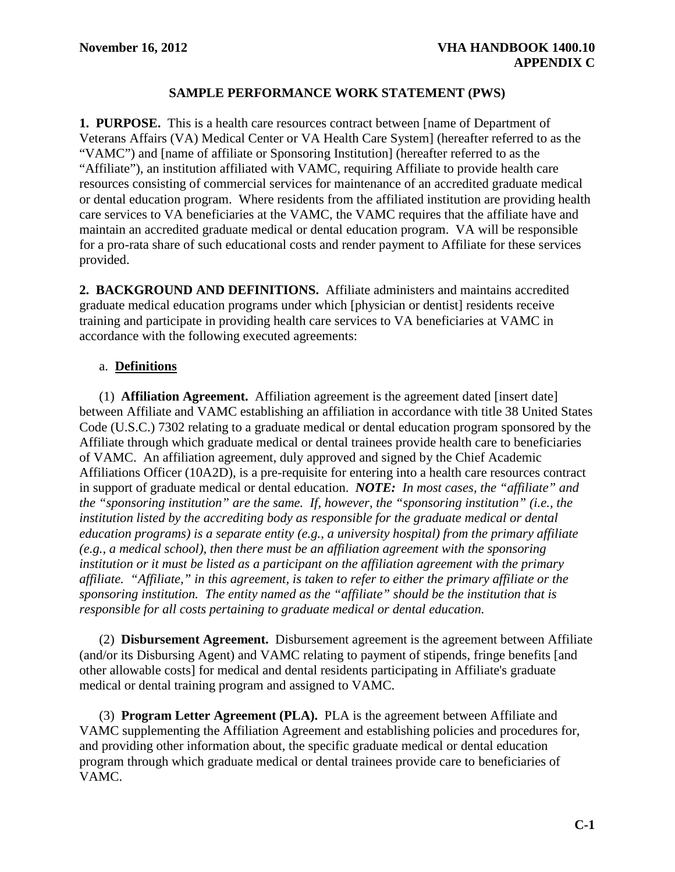## **SAMPLE PERFORMANCE WORK STATEMENT (PWS)**

<span id="page-15-0"></span>**1. PURPOSE.** This is a health care resources contract between [name of Department of Veterans Affairs (VA) Medical Center or VA Health Care System] (hereafter referred to as the "VAMC") and [name of affiliate or Sponsoring Institution] (hereafter referred to as the "Affiliate"), an institution affiliated with VAMC, requiring Affiliate to provide health care resources consisting of commercial services for maintenance of an accredited graduate medical or dental education program. Where residents from the affiliated institution are providing health care services to VA beneficiaries at the VAMC, the VAMC requires that the affiliate have and maintain an accredited graduate medical or dental education program. VA will be responsible for a pro-rata share of such educational costs and render payment to Affiliate for these services provided.

**2. BACKGROUND AND DEFINITIONS.** Affiliate administers and maintains accredited graduate medical education programs under which [physician or dentist] residents receive training and participate in providing health care services to VA beneficiaries at VAMC in accordance with the following executed agreements:

## a. **Definitions**

(1) **Affiliation Agreement.** Affiliation agreement is the agreement dated [insert date] between Affiliate and VAMC establishing an affiliation in accordance with title 38 United States Code (U.S.C.) 7302 relating to a graduate medical or dental education program sponsored by the Affiliate through which graduate medical or dental trainees provide health care to beneficiaries of VAMC. An affiliation agreement, duly approved and signed by the Chief Academic Affiliations Officer (10A2D), is a pre-requisite for entering into a health care resources contract in support of graduate medical or dental education. *NOTE: In most cases, the "affiliate" and the "sponsoring institution" are the same. If, however, the "sponsoring institution" (i.e., the institution listed by the accrediting body as responsible for the graduate medical or dental education programs) is a separate entity (e.g., a university hospital) from the primary affiliate (e.g., a medical school), then there must be an affiliation agreement with the sponsoring institution or it must be listed as a participant on the affiliation agreement with the primary affiliate. "Affiliate," in this agreement, is taken to refer to either the primary affiliate or the sponsoring institution. The entity named as the "affiliate" should be the institution that is responsible for all costs pertaining to graduate medical or dental education.* 

(2) **Disbursement Agreement.** Disbursement agreement is the agreement between Affiliate (and/or its Disbursing Agent) and VAMC relating to payment of stipends, fringe benefits [and other allowable costs] for medical and dental residents participating in Affiliate's graduate medical or dental training program and assigned to VAMC.

(3) **Program Letter Agreement (PLA).** PLA is the agreement between Affiliate and VAMC supplementing the Affiliation Agreement and establishing policies and procedures for, and providing other information about, the specific graduate medical or dental education program through which graduate medical or dental trainees provide care to beneficiaries of VAMC.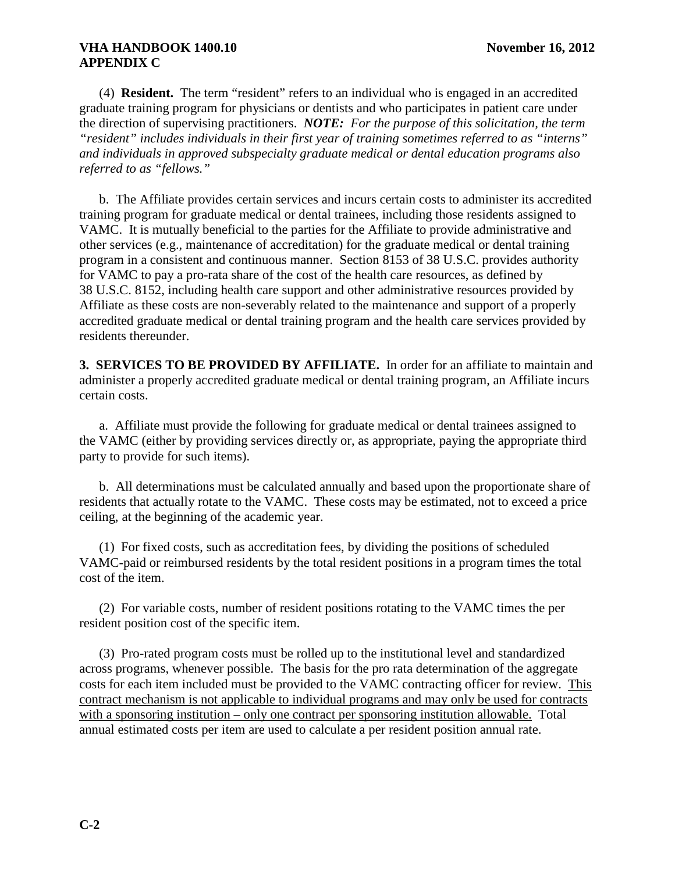(4) **Resident.** The term "resident" refers to an individual who is engaged in an accredited graduate training program for physicians or dentists and who participates in patient care under the direction of supervising practitioners. *NOTE: For the purpose of this solicitation, the term "resident" includes individuals in their first year of training sometimes referred to as "interns" and individuals in approved subspecialty graduate medical or dental education programs also referred to as "fellows."*

 b. The Affiliate provides certain services and incurs certain costs to administer its accredited training program for graduate medical or dental trainees, including those residents assigned to VAMC. It is mutually beneficial to the parties for the Affiliate to provide administrative and other services (e.g., maintenance of accreditation) for the graduate medical or dental training program in a consistent and continuous manner. Section 8153 of 38 U.S.C. provides authority for VAMC to pay a pro-rata share of the cost of the health care resources, as defined by 38 U.S.C. 8152, including health care support and other administrative resources provided by Affiliate as these costs are non-severably related to the maintenance and support of a properly accredited graduate medical or dental training program and the health care services provided by residents thereunder.

**3. SERVICES TO BE PROVIDED BY AFFILIATE.** In order for an affiliate to maintain and administer a properly accredited graduate medical or dental training program, an Affiliate incurs certain costs.

a. Affiliate must provide the following for graduate medical or dental trainees assigned to the VAMC (either by providing services directly or, as appropriate, paying the appropriate third party to provide for such items).

 b. All determinations must be calculated annually and based upon the proportionate share of residents that actually rotate to the VAMC. These costs may be estimated, not to exceed a price ceiling, at the beginning of the academic year.

 (1) For fixed costs, such as accreditation fees, by dividing the positions of scheduled VAMC-paid or reimbursed residents by the total resident positions in a program times the total cost of the item.

 (2) For variable costs, number of resident positions rotating to the VAMC times the per resident position cost of the specific item.

(3) Pro-rated program costs must be rolled up to the institutional level and standardized across programs, whenever possible. The basis for the pro rata determination of the aggregate costs for each item included must be provided to the VAMC contracting officer for review. This contract mechanism is not applicable to individual programs and may only be used for contracts with a sponsoring institution – only one contract per sponsoring institution allowable. Total annual estimated costs per item are used to calculate a per resident position annual rate.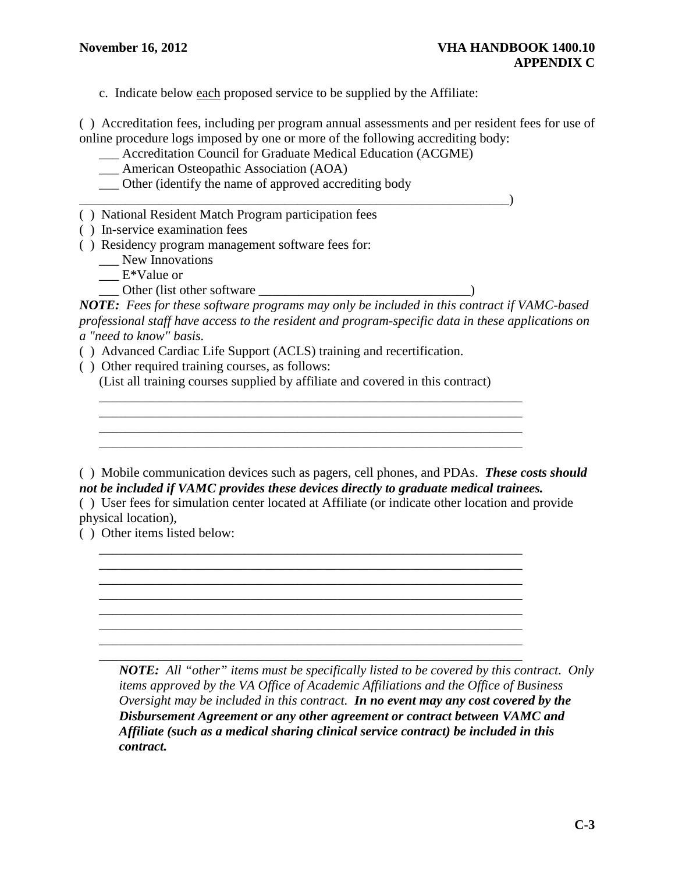c. Indicate below each proposed service to be supplied by the Affiliate:

( ) Accreditation fees, including per program annual assessments and per resident fees for use of online procedure logs imposed by one or more of the following accrediting body:

- \_\_\_ Accreditation Council for Graduate Medical Education (ACGME)
- \_\_\_ American Osteopathic Association (AOA)
- \_\_\_ Other (identify the name of approved accrediting body
- $\qquad \qquad$ ( ) National Resident Match Program participation fees
- ( ) In-service examination fees
- ( ) Residency program management software fees for:
	- \_\_\_ New Innovations
	- $\_\_$ E\*Value or
		- \_\_\_ Other (list other software \_\_\_\_\_\_\_\_\_\_\_\_\_\_\_\_\_\_\_\_\_\_\_\_\_\_\_\_\_\_\_\_)

*NOTE: Fees for these software programs may only be included in this contract if VAMC-based professional staff have access to the resident and program-specific data in these applications on a "need to know" basis.* 

- ( ) Advanced Cardiac Life Support (ACLS) training and recertification.
- ( ) Other required training courses, as follows:

(List all training courses supplied by affiliate and covered in this contract)

\_\_\_\_\_\_\_\_\_\_\_\_\_\_\_\_\_\_\_\_\_\_\_\_\_\_\_\_\_\_\_\_\_\_\_\_\_\_\_\_\_\_\_\_\_\_\_\_\_\_\_\_\_\_\_\_\_\_\_\_\_\_\_\_

\_\_\_\_\_\_\_\_\_\_\_\_\_\_\_\_\_\_\_\_\_\_\_\_\_\_\_\_\_\_\_\_\_\_\_\_\_\_\_\_\_\_\_\_\_\_\_\_\_\_\_\_\_\_\_\_\_\_\_\_\_\_\_\_

 \_\_\_\_\_\_\_\_\_\_\_\_\_\_\_\_\_\_\_\_\_\_\_\_\_\_\_\_\_\_\_\_\_\_\_\_\_\_\_\_\_\_\_\_\_\_\_\_\_\_\_\_\_\_\_\_\_\_\_\_\_\_\_\_ \_\_\_\_\_\_\_\_\_\_\_\_\_\_\_\_\_\_\_\_\_\_\_\_\_\_\_\_\_\_\_\_\_\_\_\_\_\_\_\_\_\_\_\_\_\_\_\_\_\_\_\_\_\_\_\_\_\_\_\_\_\_\_\_ \_\_\_\_\_\_\_\_\_\_\_\_\_\_\_\_\_\_\_\_\_\_\_\_\_\_\_\_\_\_\_\_\_\_\_\_\_\_\_\_\_\_\_\_\_\_\_\_\_\_\_\_\_\_\_\_\_\_\_\_\_\_\_\_ \_\_\_\_\_\_\_\_\_\_\_\_\_\_\_\_\_\_\_\_\_\_\_\_\_\_\_\_\_\_\_\_\_\_\_\_\_\_\_\_\_\_\_\_\_\_\_\_\_\_\_\_\_\_\_\_\_\_\_\_\_\_\_\_

\_\_\_\_\_\_\_\_\_\_\_\_\_\_\_\_\_\_\_\_\_\_\_\_\_\_\_\_\_\_\_\_\_\_\_\_\_\_\_\_\_\_\_\_\_\_\_\_\_\_\_\_\_\_\_\_\_\_\_\_\_\_\_\_

( ) Mobile communication devices such as pagers, cell phones, and PDAs. *These costs should not be included if VAMC provides these devices directly to graduate medical trainees.*

( ) User fees for simulation center located at Affiliate (or indicate other location and provide physical location),

( ) Other items listed below:

 \_\_\_\_\_\_\_\_\_\_\_\_\_\_\_\_\_\_\_\_\_\_\_\_\_\_\_\_\_\_\_\_\_\_\_\_\_\_\_\_\_\_\_\_\_\_\_\_\_\_\_\_\_\_\_\_\_\_\_\_\_\_\_\_ *NOTE: All "other" items must be specifically listed to be covered by this contract. Only items approved by the VA Office of Academic Affiliations and the Office of Business Oversight may be included in this contract. In no event may any cost covered by the Disbursement Agreement or any other agreement or contract between VAMC and Affiliate (such as a medical sharing clinical service contract) be included in this contract.*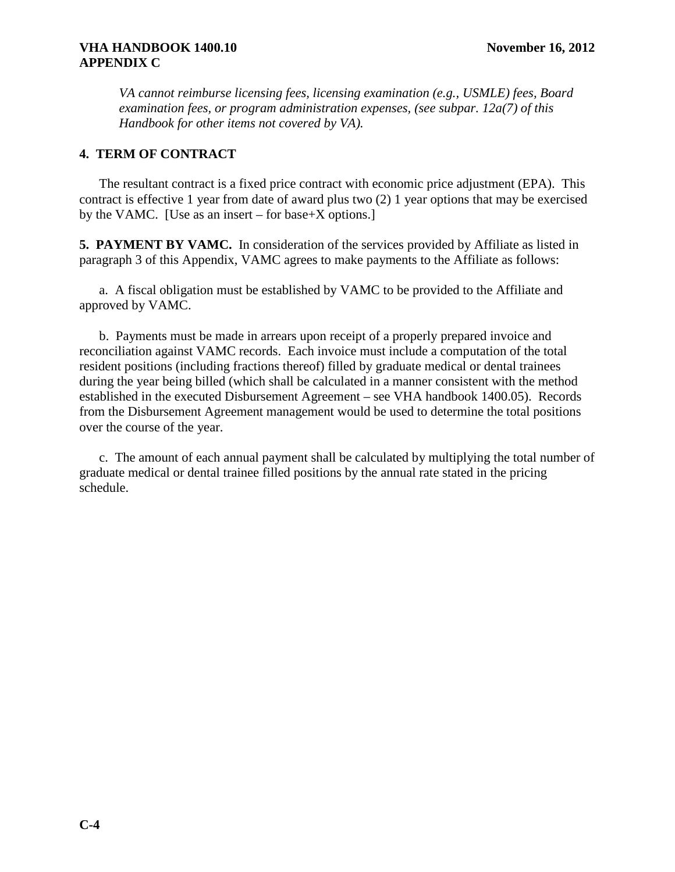*VA cannot reimburse licensing fees, licensing examination (e.g., USMLE) fees, Board examination fees, or program administration expenses, (see subpar. 12a(7) of this Handbook for other items not covered by VA).*

## **4. TERM OF CONTRACT**

The resultant contract is a fixed price contract with economic price adjustment (EPA). This contract is effective 1 year from date of award plus two (2) 1 year options that may be exercised by the VAMC. [Use as an insert – for base+X options.]

**5. PAYMENT BY VAMC.** In consideration of the services provided by Affiliate as listed in paragraph 3 of this Appendix, VAMC agrees to make payments to the Affiliate as follows:

a. A fiscal obligation must be established by VAMC to be provided to the Affiliate and approved by VAMC.

 b. Payments must be made in arrears upon receipt of a properly prepared invoice and reconciliation against VAMC records. Each invoice must include a computation of the total resident positions (including fractions thereof) filled by graduate medical or dental trainees during the year being billed (which shall be calculated in a manner consistent with the method established in the executed Disbursement Agreement – see VHA handbook 1400.05). Records from the Disbursement Agreement management would be used to determine the total positions over the course of the year.

c. The amount of each annual payment shall be calculated by multiplying the total number of graduate medical or dental trainee filled positions by the annual rate stated in the pricing schedule.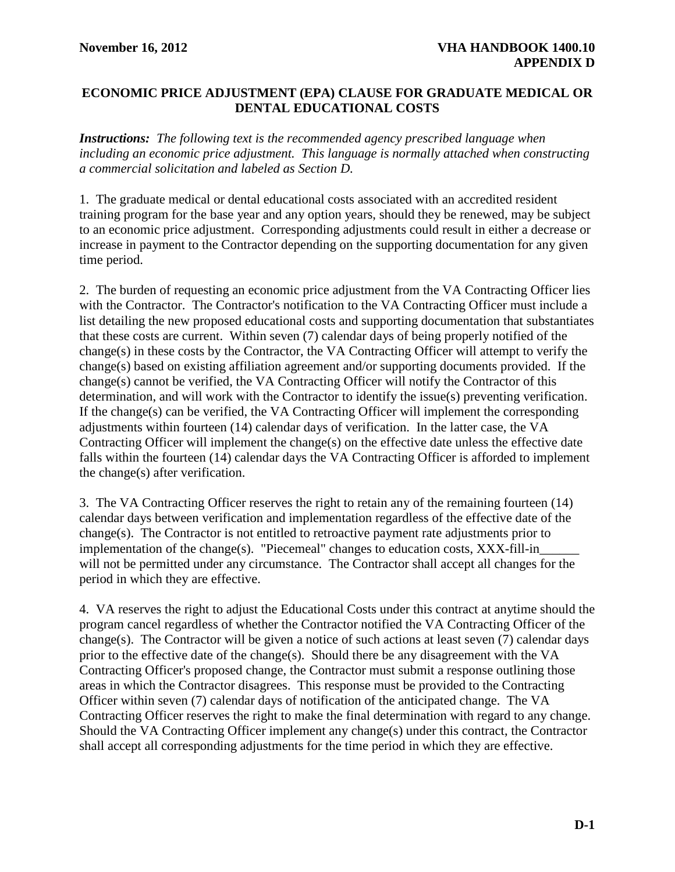## <span id="page-19-0"></span>**ECONOMIC PRICE ADJUSTMENT (EPA) CLAUSE FOR GRADUATE MEDICAL OR DENTAL EDUCATIONAL COSTS**

*Instructions: The following text is the recommended agency prescribed language when including an economic price adjustment. This language is normally attached when constructing a commercial solicitation and labeled as Section D.* 

1. The graduate medical or dental educational costs associated with an accredited resident training program for the base year and any option years, should they be renewed, may be subject to an economic price adjustment. Corresponding adjustments could result in either a decrease or increase in payment to the Contractor depending on the supporting documentation for any given time period.

2. The burden of requesting an economic price adjustment from the VA Contracting Officer lies with the Contractor. The Contractor's notification to the VA Contracting Officer must include a list detailing the new proposed educational costs and supporting documentation that substantiates that these costs are current. Within seven (7) calendar days of being properly notified of the change(s) in these costs by the Contractor, the VA Contracting Officer will attempt to verify the change(s) based on existing affiliation agreement and/or supporting documents provided. If the change(s) cannot be verified, the VA Contracting Officer will notify the Contractor of this determination, and will work with the Contractor to identify the issue(s) preventing verification. If the change(s) can be verified, the VA Contracting Officer will implement the corresponding adjustments within fourteen (14) calendar days of verification. In the latter case, the VA Contracting Officer will implement the change(s) on the effective date unless the effective date falls within the fourteen (14) calendar days the VA Contracting Officer is afforded to implement the change(s) after verification.

3. The VA Contracting Officer reserves the right to retain any of the remaining fourteen (14) calendar days between verification and implementation regardless of the effective date of the change(s). The Contractor is not entitled to retroactive payment rate adjustments prior to implementation of the change(s). "Piecemeal" changes to education costs, XXX-fill-in will not be permitted under any circumstance. The Contractor shall accept all changes for the period in which they are effective.

4. VA reserves the right to adjust the Educational Costs under this contract at anytime should the program cancel regardless of whether the Contractor notified the VA Contracting Officer of the change(s). The Contractor will be given a notice of such actions at least seven (7) calendar days prior to the effective date of the change(s). Should there be any disagreement with the VA Contracting Officer's proposed change, the Contractor must submit a response outlining those areas in which the Contractor disagrees. This response must be provided to the Contracting Officer within seven (7) calendar days of notification of the anticipated change. The VA Contracting Officer reserves the right to make the final determination with regard to any change. Should the VA Contracting Officer implement any change(s) under this contract, the Contractor shall accept all corresponding adjustments for the time period in which they are effective.